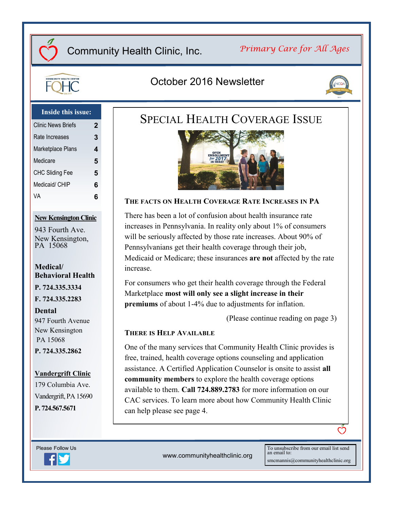# Community Health Clinic, Inc.

## *Primary Care for All Ages*



## October 2016 Newsletter



### **Inside this issue:**

| Clinic News Briefs     | 2 |
|------------------------|---|
| Rate Increases         | 3 |
| Marketplace Plans      | 4 |
| Medicare               | 5 |
| <b>CHC Sliding Fee</b> | 5 |
| Medicaid/ CHIP         | 6 |
| VA                     | 6 |
|                        |   |

#### **New Kensington Clinic**

943 Fourth Ave. New Kensington, PA 15068

#### **Medical/ Behavioral Health**

**P. 724.335.3334 F. 724.335.2283**

**Dental** 947 Fourth Avenue New Kensington PA 15068 **P. 724.335.2862**

#### **Vandergrift Clinic**

179 Columbia Ave. Vandergrift, PA 15690 **P. 724.567.5671**





#### **THE FACTS ON HEALTH COVERAGE RATE INCREASES IN PA**

There has been a lot of confusion about health insurance rate increases in Pennsylvania. In reality only about 1% of consumers will be seriously affected by those rate increases. About 90% of Pennsylvanians get their health coverage through their job, Medicaid or Medicare; these insurances **are not** affected by the rate increase.

For consumers who get their health coverage through the Federal Marketplace **most will only see a slight increase in their premiums** of about 1-4% due to adjustments for inflation.

(Please continue reading on page 3)

#### **THERE IS HELP AVAILABLE**

One of the many services that Community Health Clinic provides is free, trained, health coverage options counseling and application assistance. A Certified Application Counselor is onsite to assist **all community members** to explore the health coverage options available to them. **Call 724.889.2783** for more information on our CAC services. To learn more about how Community Health Clinic can help please see page 4.



www.communityhealthclinic.org

To unsubscribe from our email list send an email to: smcmannis@communityhealthclinic.org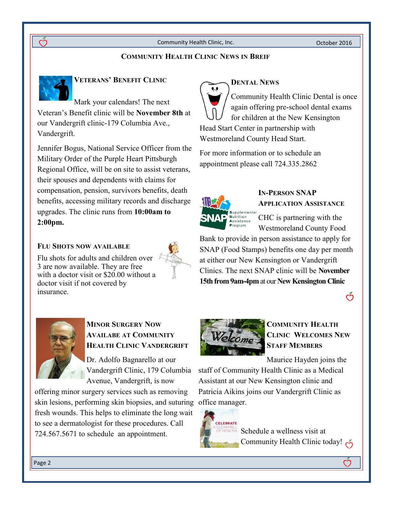Community Health Clinic, Inc. Community Health Clinic, Inc.

#### **COMMUNITY HEALTH CLINIC NEWS IN BREIF**



### **VETERANS' BENEFIT CLINIC**

Mark your calendars! The next Veteran's Benefit clinic will be **November 8th** at our Vandergrift clinic-179 Columbia Ave., Vandergrift.

Jennifer Bogus, National Service Officer from the Military Order of the Purple Heart Pittsburgh Regional Office, will be on site to assist veterans, their spouses and dependents with claims for compensation, pension, survivors benefits, death benefits, accessing military records and discharge upgrades. The clinic runs from **10:00am to 2:00pm.**

#### **FLU SHOTS NOW AVAILABLE**

Flu shots for adults and children over 3 are now available. They are free with a doctor visit or \$20.00 without a doctor visit if not covered by insurance.



## **DENTAL NEWS**

Community Health Clinic Dental is once again offering pre-school dental exams for children at the New Kensington Head Start Center in partnership with Westmoreland County Head Start.

For more information or to schedule an appointment please call 724.335.2862



## **IN-PERSON SNAP APPLICATION ASSISTANCE**

CHC is partnering with the Westmoreland County Food

Bank to provide in person assistance to apply for SNAP (Food Stamps) benefits one day per month at either our New Kensington or Vandergrift Clinics. The next SNAP clinic will be **November 15th from 9am-4pm** at our **New Kensington Clinic**





## **MINOR SURGERY NOW AVAILABE AT COMMUNITY HEALTH CLINIC VANDERGRIFT**

Dr. Adolfo Bagnarello at our Vandergrift Clinic, 179 Columbia Avenue, Vandergrift, is now

offering minor surgery services such as removing skin lesions, performing skin biopsies, and suturing office manager. fresh wounds. This helps to eliminate the long wait to see a dermatologist for these procedures. Call 724.567.5671 to schedule an appointment.



## **COMMUNITY HEALTH CLINIC WELCOMES NEW STAFF MEMBERS**

Maurice Hayden joins the

staff of Community Health Clinic as a Medical Assistant at our New Kensington clinic and Patricia Aikins joins our Vandergrift Clinic as



Schedule a wellness visit at Community Health Clinic today!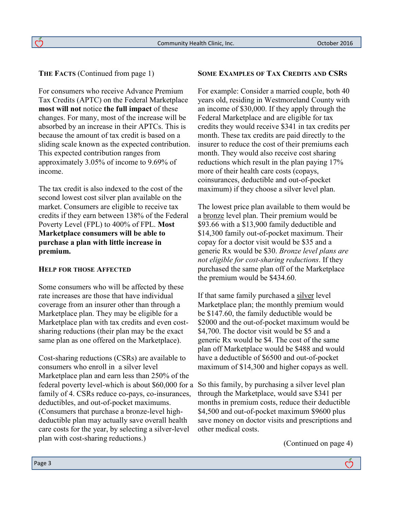#### **THE FACTS** (Continued from page 1)

 $\breve{\mathcal{C}}$ 

For consumers who receive Advance Premium Tax Credits (APTC) on the Federal Marketplace **most will not** notice **the full impact** of these changes. For many, most of the increase will be absorbed by an increase in their APTCs. This is because the amount of tax credit is based on a sliding scale known as the expected contribution. This expected contribution ranges from approximately 3.05% of income to 9.69% of income.

The tax credit is also indexed to the cost of the second lowest cost silver plan available on the market. Consumers are eligible to receive tax credits if they earn between 138% of the Federal Poverty Level (FPL) to 400% of FPL. **Most Marketplace consumers will be able to purchase a plan with little increase in premium.**

#### **HELP FOR THOSE AFFECTED**

Some consumers who will be affected by these rate increases are those that have individual coverage from an insurer other than through a Marketplace plan. They may be eligible for a Marketplace plan with tax credits and even costsharing reductions (their plan may be the exact same plan as one offered on the Marketplace).

Cost-sharing reductions (CSRs) are available to consumers who enroll in a silver level Marketplace plan and earn less than 250% of the federal poverty level-which is about \$60,000 for a family of 4. CSRs reduce co-pays, co-insurances, deductibles, and out-of-pocket maximums. (Consumers that purchase a bronze-level highdeductible plan may actually save overall health care costs for the year, by selecting a silver-level plan with cost-sharing reductions.)

#### **SOME EXAMPLES OF TAX CREDITS AND CSRS**

For example: Consider a married couple, both 40 years old, residing in Westmoreland County with an income of \$30,000. If they apply through the Federal Marketplace and are eligible for tax credits they would receive \$341 in tax credits per month. These tax credits are paid directly to the insurer to reduce the cost of their premiums each month. They would also receive cost sharing reductions which result in the plan paying 17% more of their health care costs (copays, coinsurances, deductible and out-of-pocket maximum) if they choose a silver level plan.

The lowest price plan available to them would be a bronze level plan. Their premium would be \$93.66 with a \$13,900 family deductible and \$14,300 family out-of-pocket maximum. Their copay for a doctor visit would be \$35 and a generic Rx would be \$30. *Bronze level plans are not eligible for cost-sharing reductions*. If they purchased the same plan off of the Marketplace the premium would be \$434.60.

If that same family purchased a silver level Marketplace plan; the monthly premium would be \$147.60, the family deductible would be \$2000 and the out-of-pocket maximum would be \$4,700. The doctor visit would be \$5 and a generic Rx would be \$4. The cost of the same plan off Marketplace would be \$488 and would have a deductible of \$6500 and out-of-pocket maximum of \$14,300 and higher copays as well.

So this family, by purchasing a silver level plan through the Marketplace, would save \$341 per months in premium costs, reduce their deductible \$4,500 and out-of-pocket maximum \$9600 plus save money on doctor visits and prescriptions and other medical costs.

(Continued on page 4)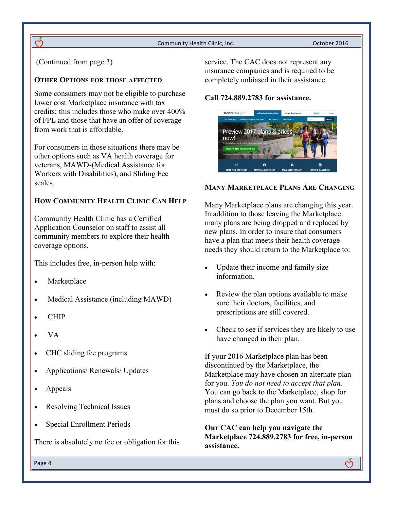Community Health Clinic, Inc. Community Health Clinic, Inc.

(Continued from page 3)

 $\breve{\mathrm{C}}$ 

#### **OTHER OPTIONS FOR THOSE AFFECTED**

Some consumers may not be eligible to purchase lower cost Marketplace insurance with tax credits; this includes those who make over 400% of FPL and those that have an offer of coverage from work that is affordable.

For consumers in those situations there may be other options such as VA health coverage for veterans, MAWD-(Medical Assistance for Workers with Disabilities), and Sliding Fee scales.

### **HOW COMMUNITY HEALTH CLINIC CAN HELP**

Community Health Clinic has a Certified Application Counselor on staff to assist all community members to explore their health coverage options.

This includes free, in-person help with:

- Marketplace
- Medical Assistance (including MAWD)
- CHIP
- VA
- CHC sliding fee programs
- Applications/ Renewals/ Updates
- Appeals
- Resolving Technical Issues
- Special Enrollment Periods

There is absolutely no fee or obligation for this

service. The CAC does not represent any insurance companies and is required to be completely unbiased in their assistance.

#### **Call 724.889.2783 for assistance.**



#### **MANY MARKETPLACE PLANS ARE CHANGING**

Many Marketplace plans are changing this year. In addition to those leaving the Marketplace many plans are being dropped and replaced by new plans. In order to insure that consumers have a plan that meets their health coverage needs they should return to the Marketplace to:

- Update their income and family size information.
- Review the plan options available to make sure their doctors, facilities, and prescriptions are still covered.
- Check to see if services they are likely to use have changed in their plan.

If your 2016 Marketplace plan has been discontinued by the Marketplace, the Marketplace may have chosen an alternate plan for you. *You do not need to accept that plan*. You can go back to the Marketplace, shop for plans and choose the plan you want. But you must do so prior to December 15th.

**Our CAC can help you navigate the Marketplace 724.889.2783 for free, in-person assistance.**

Page 4

<u>ර</u>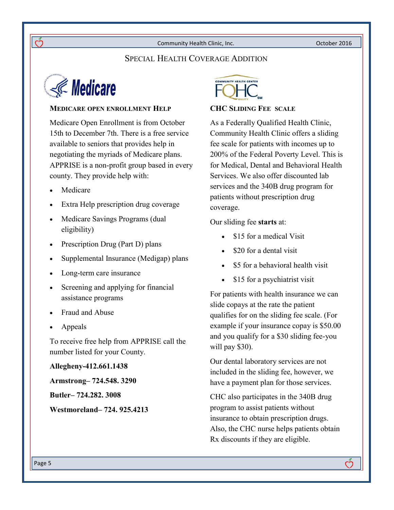Community Health Clinic, Inc. Community Health Clinic, Inc.

## SPECIAL HEALTH COVERAGE ADDITION



#### **MEDICARE OPEN ENROLLMENT HELP**

Medicare Open Enrollment is from October 15th to December 7th. There is a free service available to seniors that provides help in negotiating the myriads of Medicare plans. APPRISE is a non-profit group based in every county. They provide help with:

- Medicare
- Extra Help prescription drug coverage
- Medicare Savings Programs (dual eligibility)
- Prescription Drug (Part D) plans
- Supplemental Insurance (Medigap) plans
- Long-term care insurance
- Screening and applying for financial assistance programs
- Fraud and Abuse
- Appeals

To receive free help from APPRISE call the number listed for your County.

**Allegheny-412.661.1438**

**Armstrong– 724.548. 3290**

**Butler– 724.282. 3008**

**Westmoreland– 724. 925.4213**



#### **CHC SLIDING FEE SCALE**

As a Federally Qualified Health Clinic, Community Health Clinic offers a sliding fee scale for patients with incomes up to 200% of the Federal Poverty Level. This is for Medical, Dental and Behavioral Health Services. We also offer discounted lab services and the 340B drug program for patients without prescription drug coverage.

Our sliding fee **starts** at:

- \$15 for a medical Visit
- \$20 for a dental visit
- \$5 for a behavioral health visit
- \$15 for a psychiatrist visit

For patients with health insurance we can slide copays at the rate the patient qualifies for on the sliding fee scale. (For example if your insurance copay is \$50.00 and you qualify for a \$30 sliding fee-you will pay \$30).

Our dental laboratory services are not included in the sliding fee, however, we have a payment plan for those services.

CHC also participates in the 340B drug program to assist patients without insurance to obtain prescription drugs. Also, the CHC nurse helps patients obtain Rx discounts if they are eligible.

ෆ